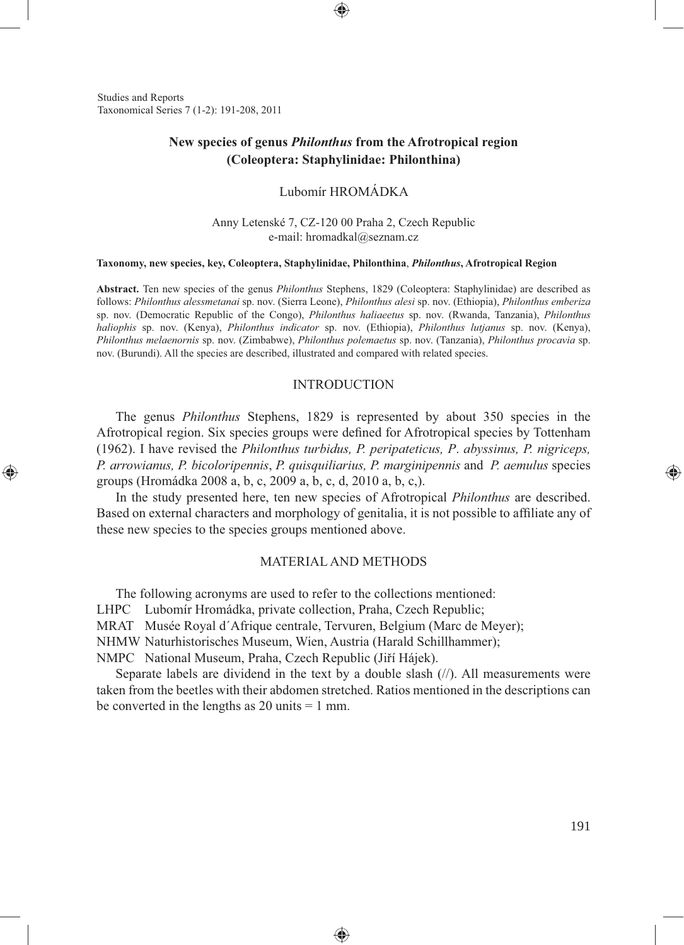Studies and Reports Taxonomical Series 7 (1-2): 191-208, 2011

⊕

# **New species of genus** *Philonthus* **from the Afrotropical region (Coleoptera: Staphylinidae: Philonthina)**

# Lubomír HROMÁDKA

Anny Letenské 7, CZ-120 00 Praha 2, Czech Republic e-mail: hromadkal@seznam.cz

#### **Taxonomy, new species, key, Coleoptera, Staphylinidae, Philonthina**, *Philonthus***, Afrotropical Region**

**Abstract.** Ten new species of the genus *Philonthus* Stephens, 1829 (Coleoptera: Staphylinidae) are described as follows: *Philonthus alessmetanai* sp. nov. (Sierra Leone), *Philonthus alesi* sp. nov. (Ethiopia), *Philonthus emberiza* sp. nov. (Democratic Republic of the Congo), *Philonthus haliaeetus* sp. nov. (Rwanda, Tanzania), *Philonthus haliophis* sp. nov. (Kenya), *Philonthus indicator* sp. nov. (Ethiopia), *Philonthus lutjanus* sp. nov. (Kenya), *Philonthus melaenornis* sp. nov. (Zimbabwe), *Philonthus polemaetus* sp. nov. (Tanzania), *Philonthus procavia* sp. nov. (Burundi). All the species are described, illustrated and compared with related species.

### INTRODUCTION

The genus *Philonthus* Stephens, 1829 is represented by about 350 species in the Afrotropical region. Six species groups were defined for Afrotropical species by Tottenham (1962). I have revised the *Philonthus turbidus, P. peripateticus, P*. *abyssinus, P. nigriceps, P. arrowianus, P. bicoloripennis*, *P. quisquiliarius, P. marginipennis* and *P. aemulus* species groups (Hromádka 2008 a, b, c, 2009 a, b, c, d, 2010 a, b, c,).

In the study presented here, ten new species of Afrotropical *Philonthus* are described. Based on external characters and morphology of genitalia, it is not possible to affiliate any of these new species to the species groups mentioned above.

#### MATERIAL AND METHODS

The following acronyms are used to refer to the collections mentioned: LHPC Lubomír Hromádka, private collection, Praha, Czech Republic; MRAT Musée Royal d´Afrique centrale, Tervuren, Belgium (Marc de Meyer); NHMW Naturhistorisches Museum, Wien, Austria (Harald Schillhammer); NMPC National Museum, Praha, Czech Republic (Jiří Hájek).

Separate labels are dividend in the text by a double slash (//). All measurements were taken from the beetles with their abdomen stretched. Ratios mentioned in the descriptions can be converted in the lengths as  $20 \text{ units} = 1 \text{ mm}$ .

♠

↔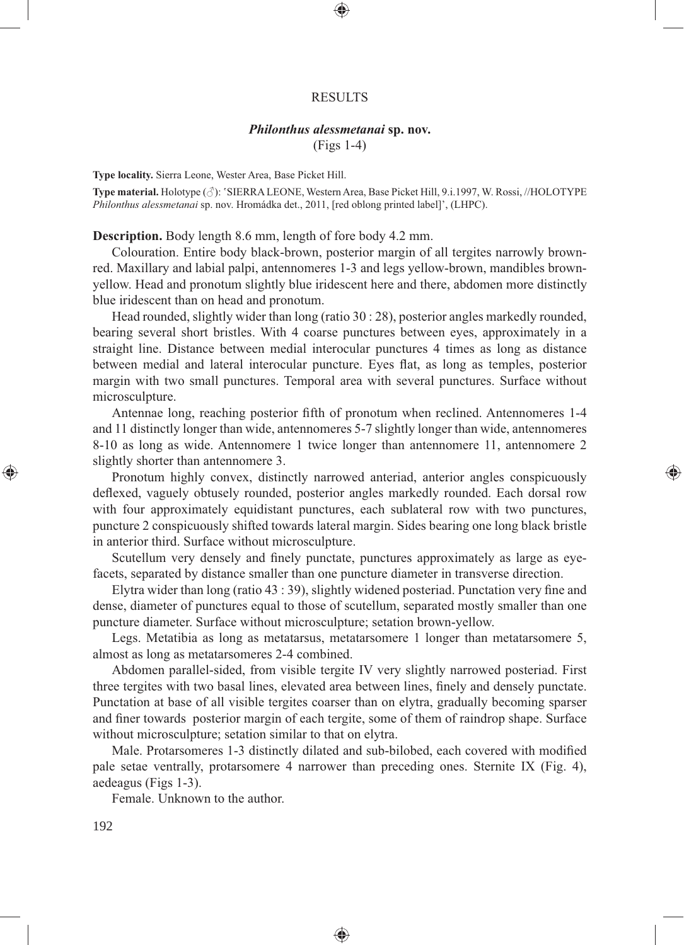#### RESULTS

⊕

# *Philonthus alessmetanai* **sp. nov.**

(Figs 1-4)

**Type locality.** Sierra Leone, Wester Area, Base Picket Hill.

**Type material.** Holotype (♂): 'SIERRA LEONE, Western Area, Base Picket Hill, 9.i.1997, W. Rossi, //HOLOTYPE *Philonthus alessmetanai* sp. nov. Hromádka det., 2011, [red oblong printed label]', (LHPC).

**Description.** Body length 8.6 mm, length of fore body 4.2 mm.

Colouration. Entire body black-brown, posterior margin of all tergites narrowly brownred. Maxillary and labial palpi, antennomeres 1-3 and legs yellow-brown, mandibles brownyellow. Head and pronotum slightly blue iridescent here and there, abdomen more distinctly blue iridescent than on head and pronotum.

Head rounded, slightly wider than long (ratio 30 : 28), posterior angles markedly rounded, bearing several short bristles. With 4 coarse punctures between eyes, approximately in a straight line. Distance between medial interocular punctures 4 times as long as distance between medial and lateral interocular puncture. Eyes flat, as long as temples, posterior margin with two small punctures. Temporal area with several punctures. Surface without microsculpture.

Antennae long, reaching posterior fifth of pronotum when reclined. Antennomeres 1-4 and 11 distinctly longer than wide, antennomeres 5-7 slightly longer than wide, antennomeres 8-10 as long as wide. Antennomere 1 twice longer than antennomere 11, antennomere 2 slightly shorter than antennomere 3.

⊕

Pronotum highly convex, distinctly narrowed anteriad, anterior angles conspicuously deflexed, vaguely obtusely rounded, posterior angles markedly rounded. Each dorsal row with four approximately equidistant punctures, each sublateral row with two punctures, puncture 2 conspicuously shifted towards lateral margin. Sides bearing one long black bristle in anterior third. Surface without microsculpture.

Scutellum very densely and finely punctate, punctures approximately as large as eyefacets, separated by distance smaller than one puncture diameter in transverse direction.

Elytra wider than long (ratio  $43:39$ ), slightly widened posteriad. Punctation very fine and dense, diameter of punctures equal to those of scutellum, separated mostly smaller than one puncture diameter. Surface without microsculpture; setation brown-yellow.

Legs. Metatibia as long as metatarsus, metatarsomere 1 longer than metatarsomere 5, almost as long as metatarsomeres 2-4 combined.

Abdomen parallel-sided, from visible tergite IV very slightly narrowed posteriad. First three tergites with two basal lines, elevated area between lines, finely and densely punctate. Punctation at base of all visible tergites coarser than on elytra, gradually becoming sparser and finer towards posterior margin of each tergite, some of them of raindrop shape. Surface without microsculpture; setation similar to that on elytra.

Male. Protarsomeres 1-3 distinctly dilated and sub-bilobed, each covered with modified pale setae ventrally, protarsomere 4 narrower than preceding ones. Sternite IX (Fig. 4), aedeagus (Figs 1-3).

◈

Female. Unknown to the author.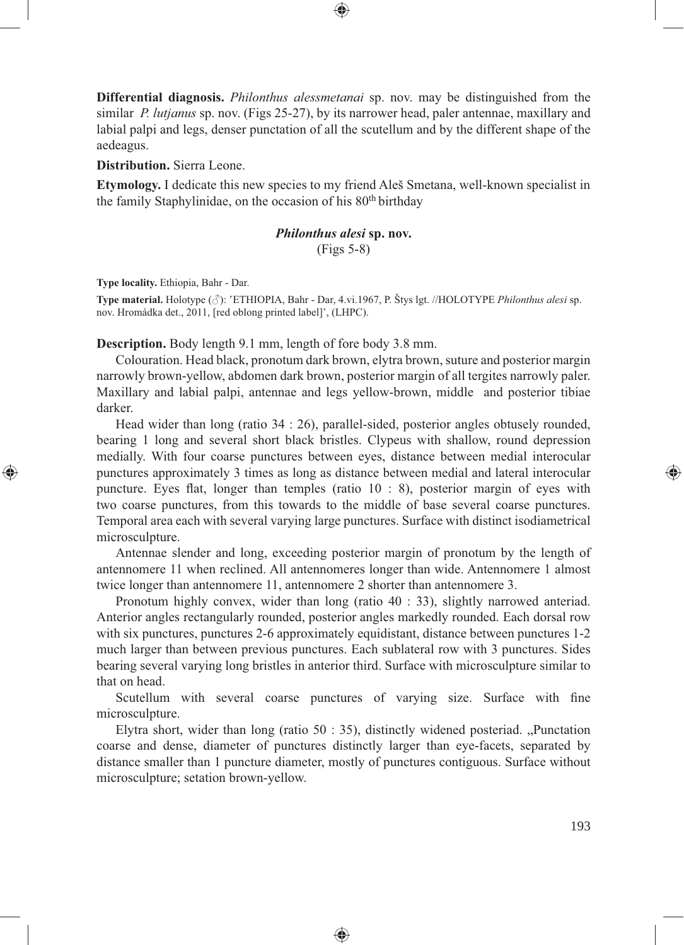**Differential diagnosis.** *Philonthus alessmetanai* sp. nov. may be distinguished from the similar *P. lutjanus* sp. nov. (Figs 25-27), by its narrower head, paler antennae, maxillary and labial palpi and legs, denser punctation of all the scutellum and by the different shape of the aedeagus.

⊕

**Distribution.** Sierra Leone.

**Etymology.** I dedicate this new species to my friend Aleš Smetana, well-known specialist in the family Staphylinidae, on the occasion of his 80<sup>th</sup> birthday

## *Philonthus alesi* **sp. nov.** (Figs 5-8)

**Type locality.** Ethiopia, Bahr - Dar.

⊕

**Type material.** Holotype (♂): 'ETHIOPIA, Bahr - Dar, 4.vi.1967, P. Štys lgt. //HOLOTYPE *Philonthus alesi* sp. nov. Hromádka det., 2011, [red oblong printed label]', (LHPC).

**Description.** Body length 9.1 mm, length of fore body 3.8 mm.

Colouration. Head black, pronotum dark brown, elytra brown, suture and posterior margin narrowly brown-yellow, abdomen dark brown, posterior margin of all tergites narrowly paler. Maxillary and labial palpi, antennae and legs yellow-brown, middle and posterior tibiae darker.

Head wider than long (ratio 34 : 26), parallel-sided, posterior angles obtusely rounded, bearing 1 long and several short black bristles. Clypeus with shallow, round depression medially. With four coarse punctures between eyes, distance between medial interocular punctures approximately 3 times as long as distance between medial and lateral interocular puncture. Eyes flat, longer than temples (ratio  $10 : 8$ ), posterior margin of eyes with two coarse punctures, from this towards to the middle of base several coarse punctures. Temporal area each with several varying large punctures. Surface with distinct isodiametrical microsculpture.

Antennae slender and long, exceeding posterior margin of pronotum by the length of antennomere 11 when reclined. All antennomeres longer than wide. Antennomere 1 almost twice longer than antennomere 11, antennomere 2 shorter than antennomere 3.

Pronotum highly convex, wider than long (ratio 40 : 33), slightly narrowed anteriad. Anterior angles rectangularly rounded, posterior angles markedly rounded. Each dorsal row with six punctures, punctures 2-6 approximately equidistant, distance between punctures 1-2 much larger than between previous punctures. Each sublateral row with 3 punctures. Sides bearing several varying long bristles in anterior third. Surface with microsculpture similar to that on head.

Scutellum with several coarse punctures of varying size. Surface with fine microsculpture.

Elytra short, wider than long (ratio  $50 : 35$ ), distinctly widened posteriad. "Punctation coarse and dense, diameter of punctures distinctly larger than eye-facets, separated by distance smaller than 1 puncture diameter, mostly of punctures contiguous. Surface without microsculpture; setation brown-yellow.

♠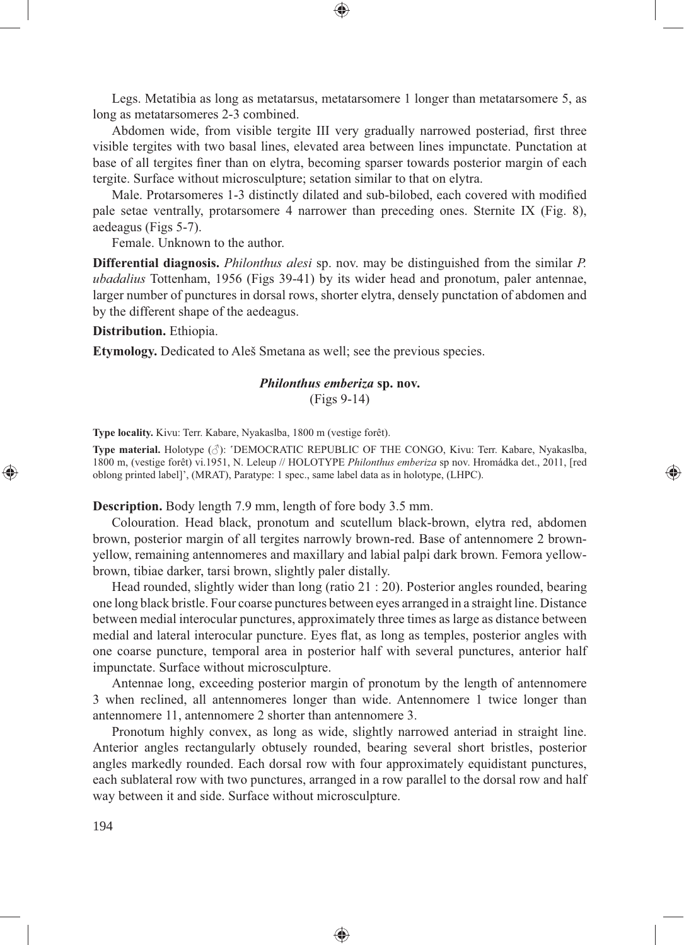Legs. Metatibia as long as metatarsus, metatarsomere 1 longer than metatarsomere 5, as long as metatarsomeres 2-3 combined.

Abdomen wide, from visible tergite III very gradually narrowed posteriad, first three visible tergites with two basal lines, elevated area between lines impunctate. Punctation at base of all tergites finer than on elytra, becoming sparser towards posterior margin of each tergite. Surface without microsculpture; setation similar to that on elytra.

Male. Protarsomeres 1-3 distinctly dilated and sub-bilobed, each covered with modified pale setae ventrally, protarsomere 4 narrower than preceding ones. Sternite IX (Fig. 8), aedeagus (Figs 5-7).

Female. Unknown to the author.

**Differential diagnosis.** *Philonthus alesi* sp. nov. may be distinguished from the similar *P. ubadalius* Tottenham, 1956 (Figs 39-41) by its wider head and pronotum, paler antennae, larger number of punctures in dorsal rows, shorter elytra, densely punctation of abdomen and by the different shape of the aedeagus.

### **Distribution.** Ethiopia.

**Etymology.** Dedicated to Aleš Smetana as well; see the previous species.

# *Philonthus emberiza* **sp. nov.**

(Figs 9-14)

**Type locality.** Kivu: Terr. Kabare, Nyakaslba, 1800 m (vestige forêt).

**Type material.** Holotype (♂): 'DEMOCRATIC REPUBLIC OF THE CONGO, Kivu: Terr. Kabare, Nyakaslba, 1800 m, (vestige forêt) vi.1951, N. Leleup // HOLOTYPE *Philonthus emberiza* sp nov. Hromádka det., 2011, [red oblong printed label]', (MRAT), Paratype: 1 spec., same label data as in holotype, (LHPC).

⊕

**Description.** Body length 7.9 mm, length of fore body 3.5 mm.

Colouration. Head black, pronotum and scutellum black-brown, elytra red, abdomen brown, posterior margin of all tergites narrowly brown-red. Base of antennomere 2 brownyellow, remaining antennomeres and maxillary and labial palpi dark brown. Femora yellowbrown, tibiae darker, tarsi brown, slightly paler distally.

Head rounded, slightly wider than long (ratio 21 : 20). Posterior angles rounded, bearing one long black bristle. Four coarse punctures between eyes arranged in a straight line. Distance between medial interocular punctures, approximately three times as large as distance between medial and lateral interocular puncture. Eyes flat, as long as temples, posterior angles with one coarse puncture, temporal area in posterior half with several punctures, anterior half impunctate. Surface without microsculpture.

Antennae long, exceeding posterior margin of pronotum by the length of antennomere 3 when reclined, all antennomeres longer than wide. Antennomere 1 twice longer than antennomere 11, antennomere 2 shorter than antennomere 3.

Pronotum highly convex, as long as wide, slightly narrowed anteriad in straight line. Anterior angles rectangularly obtusely rounded, bearing several short bristles, posterior angles markedly rounded. Each dorsal row with four approximately equidistant punctures, each sublateral row with two punctures, arranged in a row parallel to the dorsal row and half way between it and side. Surface without microsculpture.

♠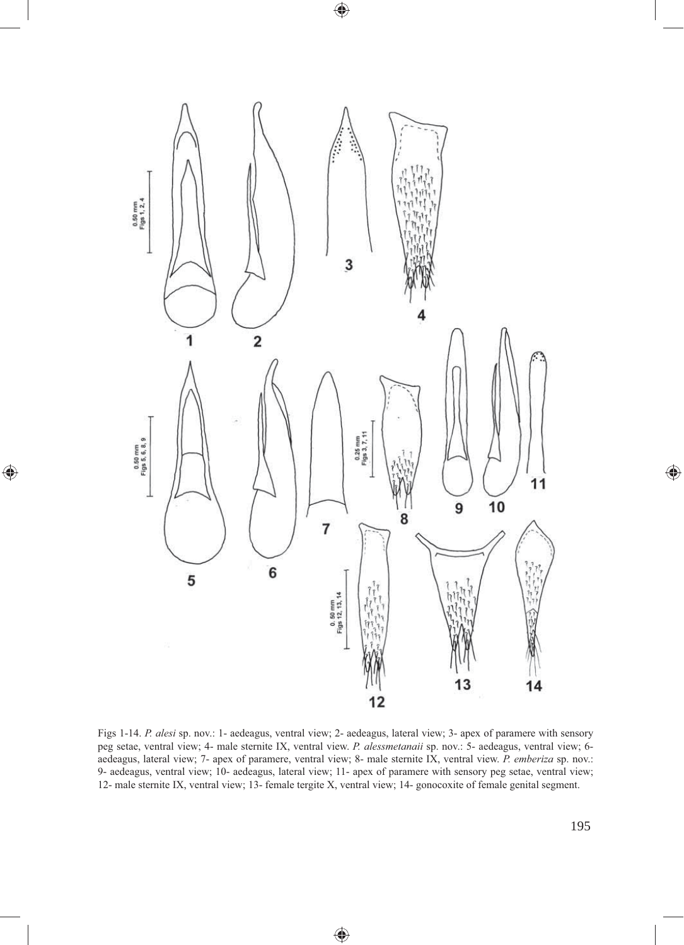

 $\bigoplus$ 

 $\bigoplus$ 

Figs 1-14. *P. alesi* sp. nov.: 1- aedeagus, ventral view; 2- aedeagus, lateral view; 3- apex of paramere with sensory peg setae, ventral view; 4- male sternite IX, ventral view. *P. alessmetanaii* sp. nov.: 5- aedeagus, ventral view; 6 aedeagus, lateral view; 7- apex of paramere, ventral view; 8- male sternite IX, ventral view. *P. emberiza* sp. nov.: 9- aedeagus, ventral view; 10- aedeagus, lateral view; 11- apex of paramere with sensory peg setae, ventral view; 12- male sternite IX, ventral view; 13- female tergite X, ventral view; 14- gonocoxite of female genital segment.

◈

 $\bigoplus$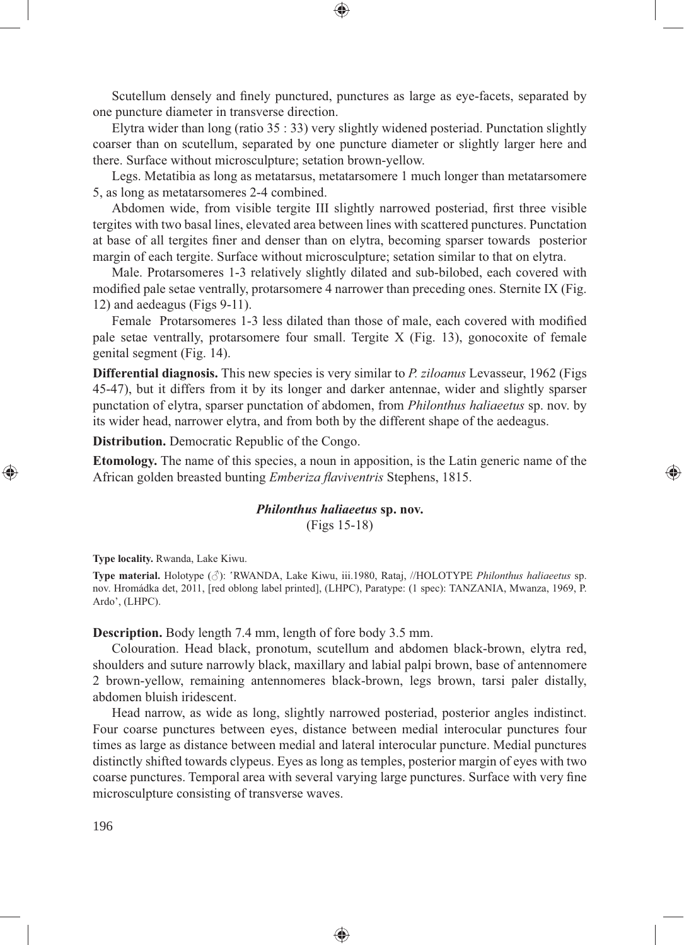Scutellum densely and finely punctured, punctures as large as eye-facets, separated by one puncture diameter in transverse direction.

Elytra wider than long (ratio 35 : 33) very slightly widened posteriad. Punctation slightly coarser than on scutellum, separated by one puncture diameter or slightly larger here and there. Surface without microsculpture; setation brown-yellow.

Legs. Metatibia as long as metatarsus, metatarsomere 1 much longer than metatarsomere 5, as long as metatarsomeres 2-4 combined.

Abdomen wide, from visible tergite III slightly narrowed posteriad, first three visible tergites with two basal lines, elevated area between lines with scattered punctures. Punctation at base of all tergites finer and denser than on elytra, becoming sparser towards posterior margin of each tergite. Surface without microsculpture; setation similar to that on elytra.

Male. Protarsomeres 1-3 relatively slightly dilated and sub-bilobed, each covered with modified pale setae ventrally, protarsomere 4 narrower than preceding ones. Sternite IX (Fig. 12) and aedeagus (Figs 9-11).

Female Protarsomeres 1-3 less dilated than those of male, each covered with modified pale setae ventrally, protarsomere four small. Tergite X (Fig. 13), gonocoxite of female genital segment (Fig. 14).

**Differential diagnosis.** This new species is very similar to *P. ziloanus* Levasseur, 1962 (Figs 45-47), but it differs from it by its longer and darker antennae, wider and slightly sparser punctation of elytra, sparser punctation of abdomen, from *Philonthus haliaeetus* sp. nov. by its wider head, narrower elytra, and from both by the different shape of the aedeagus.

**Distribution.** Democratic Republic of the Congo.

**Etomology.** The name of this species, a noun in apposition, is the Latin generic name of the African golden breasted bunting *Emberiza flaviventris* Stephens, 1815.

⊕

# *Philonthus haliaeetus* **sp. nov.** (Figs 15-18)

**Type locality.** Rwanda, Lake Kiwu.

**Type material.** Holotype (♂): 'RWANDA, Lake Kiwu, iii.1980, Rataj, //HOLOTYPE *Philonthus haliaeetus* sp. nov. Hromádka det, 2011, [red oblong label printed], (LHPC), Paratype: (1 spec): TANZANIA, Mwanza, 1969, P. Ardo', (LHPC).

**Description.** Body length 7.4 mm, length of fore body 3.5 mm.

Colouration. Head black, pronotum, scutellum and abdomen black-brown, elytra red, shoulders and suture narrowly black, maxillary and labial palpi brown, base of antennomere 2 brown-yellow, remaining antennomeres black-brown, legs brown, tarsi paler distally, abdomen bluish iridescent.

Head narrow, as wide as long, slightly narrowed posteriad, posterior angles indistinct. Four coarse punctures between eyes, distance between medial interocular punctures four times as large as distance between medial and lateral interocular puncture. Medial punctures distinctly shifted towards clypeus. Eyes as long as temples, posterior margin of eyes with two coarse punctures. Temporal area with several varying large punctures. Surface with very fine microsculpture consisting of transverse waves.

♠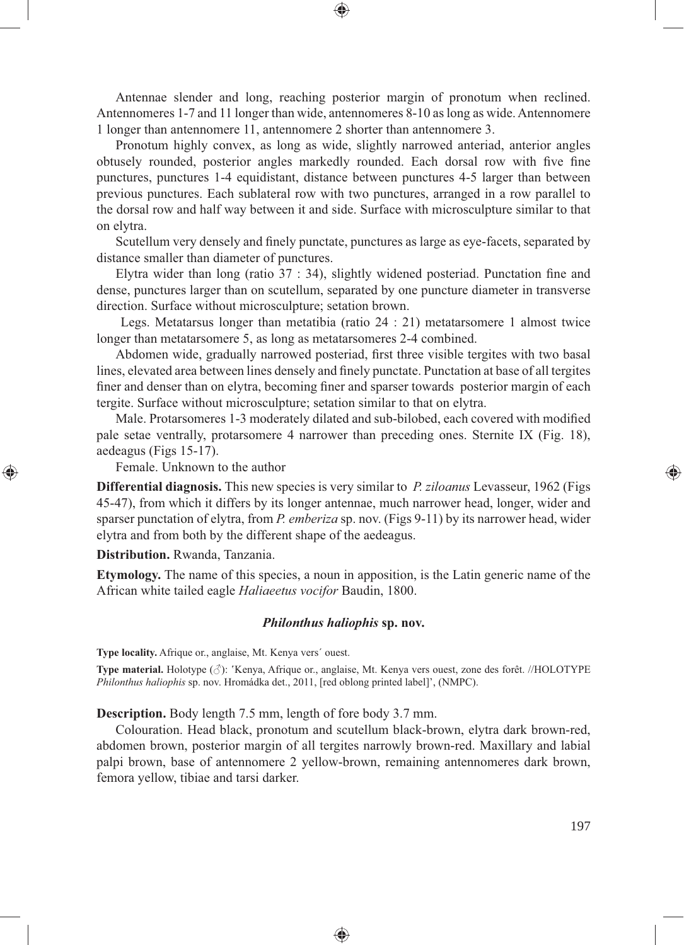Antennae slender and long, reaching posterior margin of pronotum when reclined. Antennomeres 1-7 and 11 longer than wide, antennomeres 8-10 as long as wide. Antennomere 1 longer than antennomere 11, antennomere 2 shorter than antennomere 3.

Pronotum highly convex, as long as wide, slightly narrowed anteriad, anterior angles obtusely rounded, posterior angles markedly rounded. Each dorsal row with five fine punctures, punctures 1-4 equidistant, distance between punctures 4-5 larger than between previous punctures. Each sublateral row with two punctures, arranged in a row parallel to the dorsal row and half way between it and side. Surface with microsculpture similar to that on elytra.

Scutellum very densely and finely punctate, punctures as large as eye-facets, separated by distance smaller than diameter of punctures.

Elytra wider than long (ratio  $37 : 34$ ), slightly widened posteriad. Punctation fine and dense, punctures larger than on scutellum, separated by one puncture diameter in transverse direction. Surface without microsculpture; setation brown.

 Legs. Metatarsus longer than metatibia (ratio 24 : 21) metatarsomere 1 almost twice longer than metatarsomere 5, as long as metatarsomeres 2-4 combined.

Abdomen wide, gradually narrowed posteriad, first three visible tergites with two basal lines, elevated area between lines densely and finely punctate. Punctation at base of all tergites finer and denser than on elytra, becoming finer and sparser towards posterior margin of each tergite. Surface without microsculpture; setation similar to that on elytra.

Male. Protarsomeres 1-3 moderately dilated and sub-bilobed, each covered with modified pale setae ventrally, protarsomere 4 narrower than preceding ones. Sternite IX (Fig. 18), aedeagus (Figs 15-17).

Female. Unknown to the author

**Differential diagnosis.** This new species is very similar to *P. ziloanus* Levasseur, 1962 (Figs 45-47), from which it differs by its longer antennae, much narrower head, longer, wider and sparser punctation of elytra, from *P. emberiza* sp. nov. (Figs 9-11) by its narrower head, wider elytra and from both by the different shape of the aedeagus.

**Distribution.** Rwanda, Tanzania.

⊕

**Etymology.** The name of this species, a noun in apposition, is the Latin generic name of the African white tailed eagle *Haliaeetus vocifor* Baudin, 1800.

#### *Philonthus haliophis* **sp. nov.**

**Type locality.** Afrique or., anglaise, Mt. Kenya vers´ ouest.

**Type material.** Holotype (♂): 'Kenya, Afrique or., anglaise, Mt. Kenya vers ouest, zone des forêt. //HOLOTYPE *Philonthus haliophis* sp. nov. Hromádka det., 2011, [red oblong printed label]', (NMPC).

**Description.** Body length 7.5 mm, length of fore body 3.7 mm.

Colouration. Head black, pronotum and scutellum black-brown, elytra dark brown-red, abdomen brown, posterior margin of all tergites narrowly brown-red. Maxillary and labial palpi brown, base of antennomere 2 yellow-brown, remaining antennomeres dark brown, femora yellow, tibiae and tarsi darker.

◈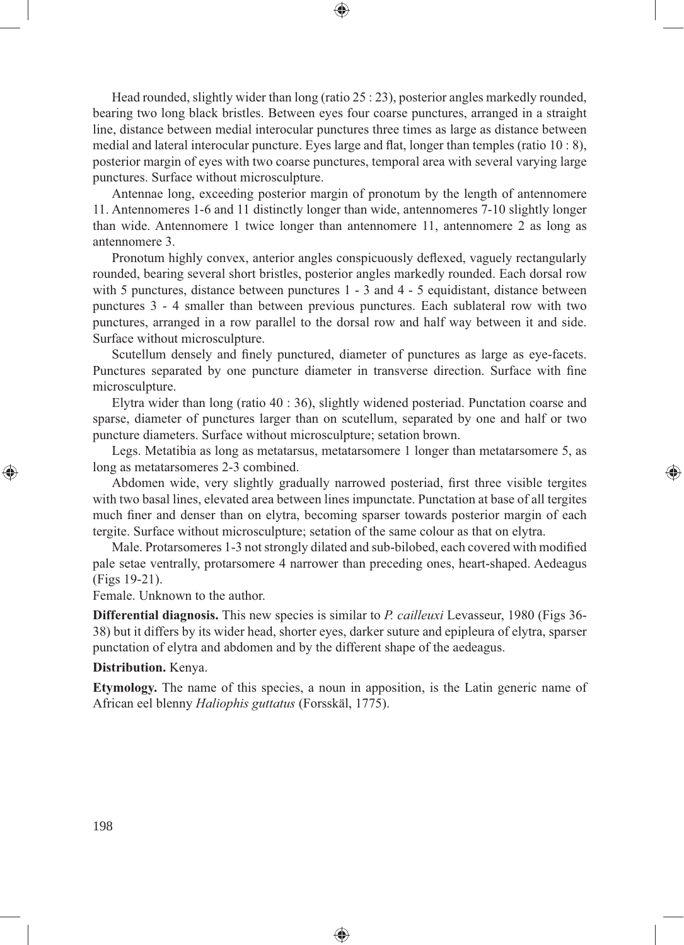Head rounded, slightly wider than long (ratio 25 : 23), posterior angles markedly rounded, bearing two long black bristles. Between eyes four coarse punctures, arranged in a straight line, distance between medial interocular punctures three times as large as distance between medial and lateral interocular puncture. Eyes large and flat, longer than temples (ratio  $10:8$ ), posterior margin of eyes with two coarse punctures, temporal area with several varying large punctures. Surface without microsculpture.

⊕

Antennae long, exceeding posterior margin of pronotum by the length of antennomere 11. Antennomeres 1-6 and 11 distinctly longer than wide, antennomeres 7-10 slightly longer than wide. Antennomere 1 twice longer than antennomere 11, antennomere 2 as long as antennomere 3.

Pronotum highly convex, anterior angles conspicuously deflexed, vaguely rectangularly rounded, bearing several short bristles, posterior angles markedly rounded. Each dorsal row with 5 punctures, distance between punctures 1 - 3 and 4 - 5 equidistant, distance between punctures 3 - 4 smaller than between previous punctures. Each sublateral row with two punctures, arranged in a row parallel to the dorsal row and half way between it and side. Surface without microsculpture.

Scutellum densely and finely punctured, diameter of punctures as large as eye-facets. Punctures separated by one puncture diameter in transverse direction. Surface with fine microsculpture.

Elytra wider than long (ratio 40 : 36), slightly widened posteriad. Punctation coarse and sparse, diameter of punctures larger than on scutellum, separated by one and half or two puncture diameters. Surface without microsculpture; setation brown.

Legs. Metatibia as long as metatarsus, metatarsomere 1 longer than metatarsomere 5, as long as metatarsomeres 2-3 combined.

⊕

Abdomen wide, very slightly gradually narrowed posteriad, first three visible tergites with two basal lines, elevated area between lines impunctate. Punctation at base of all tergites much finer and denser than on elytra, becoming sparser towards posterior margin of each tergite. Surface without microsculpture; setation of the same colour as that on elytra.

Male. Protarsomeres 1-3 not strongly dilated and sub-bilobed, each covered with modified pale setae ventrally, protarsomere 4 narrower than preceding ones, heart-shaped. Aedeagus (Figs 19-21).

Female. Unknown to the author.

**Differential diagnosis.** This new species is similar to *P. cailleuxi* Levasseur, 1980 (Figs 36- 38) but it differs by its wider head, shorter eyes, darker suture and epipleura of elytra, sparser punctation of elytra and abdomen and by the different shape of the aedeagus.

#### **Distribution.** Kenya.

**Etymology.** The name of this species, a noun in apposition, is the Latin generic name of African eel blenny *Haliophis guttatus* (Forsskäl, 1775).

♠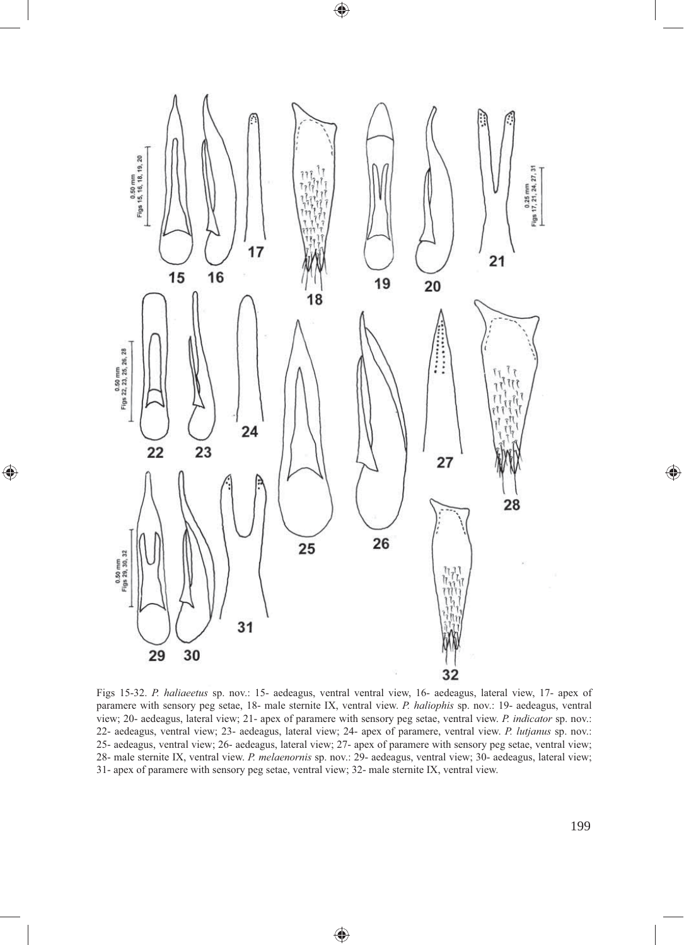

 $\bigoplus$ 

 $\bigoplus$ 

Figs 15-32. *P. haliaeetus* sp. nov.: 15- aedeagus, ventral ventral view, 16- aedeagus, lateral view, 17- apex of paramere with sensory peg setae, 18- male sternite IX, ventral view. *P. haliophis* sp. nov.: 19- aedeagus, ventral view; 20- aedeagus, lateral view; 21- apex of paramere with sensory peg setae, ventral view. *P. indicator* sp. nov.: 22- aedeagus, ventral view; 23- aedeagus, lateral view; 24- apex of paramere, ventral view. *P. lutjanus* sp. nov.: 25- aedeagus, ventral view; 26- aedeagus, lateral view; 27- apex of paramere with sensory peg setae, ventral view; 28- male sternite IX, ventral view. *P. melaenornis* sp. nov.: 29- aedeagus, ventral view; 30- aedeagus, lateral view; 31- apex of paramere with sensory peg setae, ventral view; 32- male sternite IX, ventral view.

 $\bigoplus$ 

 $\bigoplus$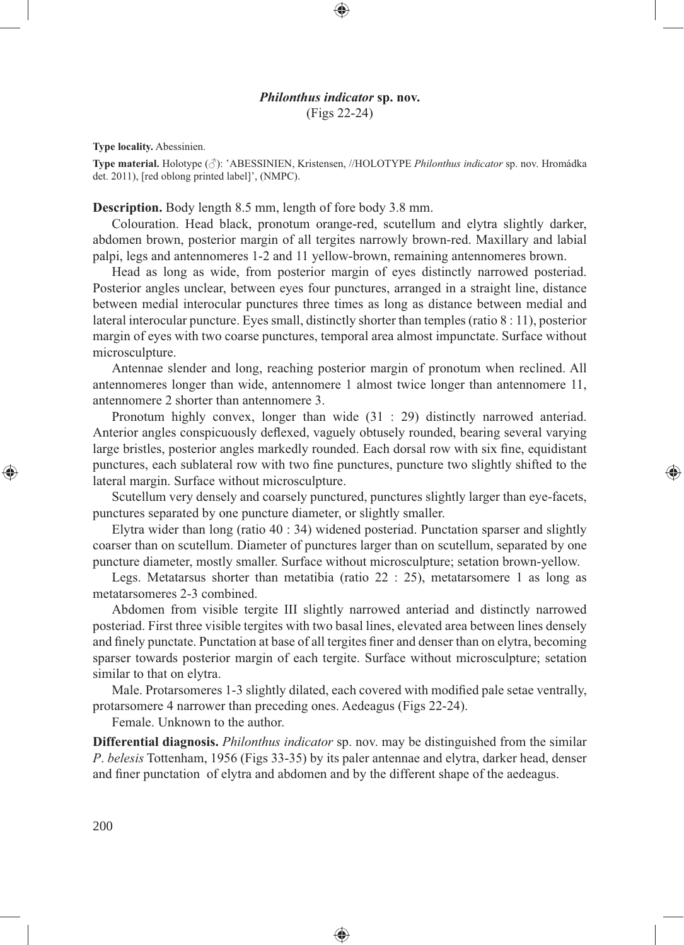## *Philonthus indicator* **sp. nov.** (Figs 22-24)

⊕

**Type locality.** Abessinien.

**Type material.** Holotype (♂): 'ABESSINIEN, Kristensen, //HOLOTYPE *Philonthus indicator* sp. nov. Hromádka det. 2011), [red oblong printed label]', (NMPC).

## **Description.** Body length 8.5 mm, length of fore body 3.8 mm.

Colouration. Head black, pronotum orange-red, scutellum and elytra slightly darker, abdomen brown, posterior margin of all tergites narrowly brown-red. Maxillary and labial palpi, legs and antennomeres 1-2 and 11 yellow-brown, remaining antennomeres brown.

Head as long as wide, from posterior margin of eyes distinctly narrowed posteriad. Posterior angles unclear, between eyes four punctures, arranged in a straight line, distance between medial interocular punctures three times as long as distance between medial and lateral interocular puncture. Eyes small, distinctly shorter than temples (ratio 8 : 11), posterior margin of eyes with two coarse punctures, temporal area almost impunctate. Surface without microsculpture.

Antennae slender and long, reaching posterior margin of pronotum when reclined. All antennomeres longer than wide, antennomere 1 almost twice longer than antennomere 11, antennomere 2 shorter than antennomere 3.

Pronotum highly convex, longer than wide (31 : 29) distinctly narrowed anteriad. Anterior angles conspicuously deflexed, vaguely obtusely rounded, bearing several varying large bristles, posterior angles markedly rounded. Each dorsal row with six fine, equidistant punctures, each sublateral row with two fine punctures, puncture two slightly shifted to the lateral margin. Surface without microsculpture.

⊕

Scutellum very densely and coarsely punctured, punctures slightly larger than eye-facets, punctures separated by one puncture diameter, or slightly smaller.

Elytra wider than long (ratio 40 : 34) widened posteriad. Punctation sparser and slightly coarser than on scutellum. Diameter of punctures larger than on scutellum, separated by one puncture diameter, mostly smaller. Surface without microsculpture; setation brown-yellow.

Legs. Metatarsus shorter than metatibia (ratio 22 : 25), metatarsomere 1 as long as metatarsomeres 2-3 combined.

Abdomen from visible tergite III slightly narrowed anteriad and distinctly narrowed posteriad. First three visible tergites with two basal lines, elevated area between lines densely and finely punctate. Punctation at base of all tergites finer and denser than on elytra, becoming sparser towards posterior margin of each tergite. Surface without microsculpture; setation similar to that on elytra.

Male. Protarsomeres 1-3 slightly dilated, each covered with modified pale setae ventrally, protarsomere 4 narrower than preceding ones. Aedeagus (Figs 22-24).

Female. Unknown to the author.

**Differential diagnosis.** *Philonthus indicator* sp. nov. may be distinguished from the similar *P*. *belesis* Tottenham, 1956 (Figs 33-35) by its paler antennae and elytra, darker head, denser and finer punctation of elytra and abdomen and by the different shape of the aedeagus.

♠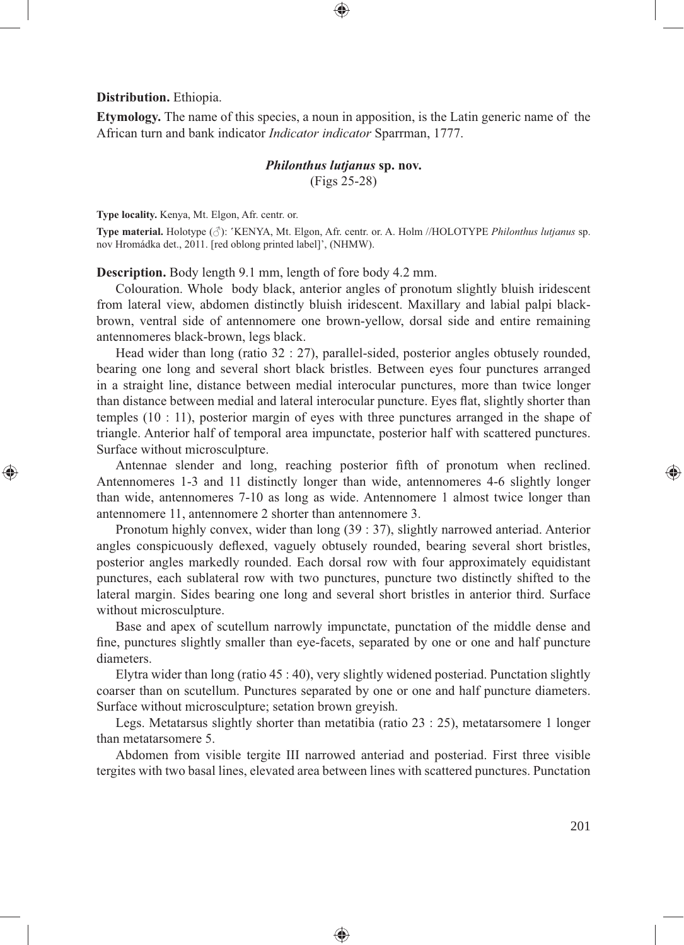**Distribution.** Ethiopia.

⊕

**Etymology.** The name of this species, a noun in apposition, is the Latin generic name of the African turn and bank indicator *Indicator indicator* Sparrman, 1777.

⊕

# *Philonthus lutjanus* **sp. nov.** (Figs 25-28)

**Type locality.** Kenya, Mt. Elgon, Afr. centr. or.

**Type material.** Holotype (♂): 'KENYA, Mt. Elgon, Afr. centr. or. A. Holm //HOLOTYPE *Philonthus lutjanus* sp. nov Hromádka det., 2011. [red oblong printed label]', (NHMW).

**Description.** Body length 9.1 mm, length of fore body 4.2 mm.

Colouration. Whole body black, anterior angles of pronotum slightly bluish iridescent from lateral view, abdomen distinctly bluish iridescent. Maxillary and labial palpi blackbrown, ventral side of antennomere one brown-yellow, dorsal side and entire remaining antennomeres black-brown, legs black.

Head wider than long (ratio 32 : 27), parallel-sided, posterior angles obtusely rounded, bearing one long and several short black bristles. Between eyes four punctures arranged in a straight line, distance between medial interocular punctures, more than twice longer than distance between medial and lateral interocular puncture. Eyes flat, slightly shorter than temples (10 : 11), posterior margin of eyes with three punctures arranged in the shape of triangle. Anterior half of temporal area impunctate, posterior half with scattered punctures. Surface without microsculpture.

Antennae slender and long, reaching posterior fifth of pronotum when reclined. Antennomeres 1-3 and 11 distinctly longer than wide, antennomeres 4-6 slightly longer than wide, antennomeres 7-10 as long as wide. Antennomere 1 almost twice longer than antennomere 11, antennomere 2 shorter than antennomere 3.

Pronotum highly convex, wider than long (39 : 37), slightly narrowed anteriad. Anterior angles conspicuously deflexed, vaguely obtusely rounded, bearing several short bristles, posterior angles markedly rounded. Each dorsal row with four approximately equidistant punctures, each sublateral row with two punctures, puncture two distinctly shifted to the lateral margin. Sides bearing one long and several short bristles in anterior third. Surface without microsculpture.

Base and apex of scutellum narrowly impunctate, punctation of the middle dense and fine, punctures slightly smaller than eye-facets, separated by one or one and half puncture diameters.

Elytra wider than long (ratio 45 : 40), very slightly widened posteriad. Punctation slightly coarser than on scutellum. Punctures separated by one or one and half puncture diameters. Surface without microsculpture; setation brown greyish.

Legs. Metatarsus slightly shorter than metatibia (ratio 23 : 25), metatarsomere 1 longer than metatarsomere 5.

Abdomen from visible tergite III narrowed anteriad and posteriad. First three visible tergites with two basal lines, elevated area between lines with scattered punctures. Punctation

♠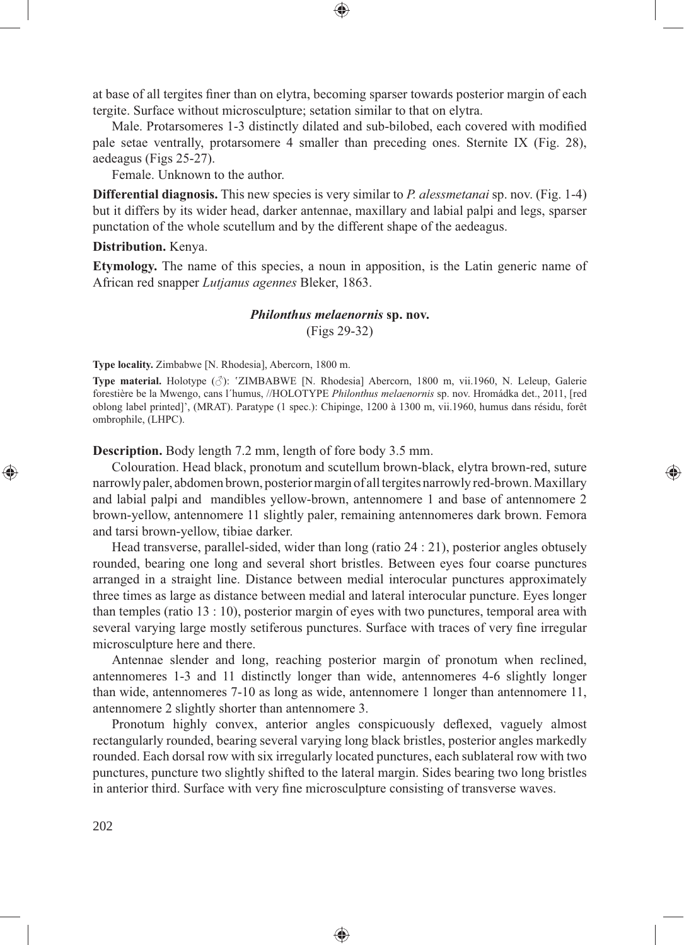at base of all tergites finer than on elytra, becoming sparser towards posterior margin of each tergite. Surface without microsculpture; setation similar to that on elytra.

Male. Protarsomeres 1-3 distinctly dilated and sub-bilobed, each covered with modified pale setae ventrally, protarsomere 4 smaller than preceding ones. Sternite IX (Fig. 28), aedeagus (Figs 25-27).

Female. Unknown to the author.

**Differential diagnosis.** This new species is very similar to *P. alessmetanai* sp. nov. (Fig. 1-4) but it differs by its wider head, darker antennae, maxillary and labial palpi and legs, sparser punctation of the whole scutellum and by the different shape of the aedeagus.

#### **Distribution.** Kenya.

**Etymology.** The name of this species, a noun in apposition, is the Latin generic name of African red snapper *Lutjanus agennes* Bleker, 1863.

## *Philonthus melaenornis* **sp. nov.** (Figs 29-32)

**Type locality.** Zimbabwe [N. Rhodesia], Abercorn, 1800 m.

**Type material.** Holotype (♂): 'ZIMBABWE [N. Rhodesia] Abercorn, 1800 m, vii.1960, N. Leleup, Galerie forestière be la Mwengo, cans l´humus, //HOLOTYPE *Philonthus melaenornis* sp. nov. Hromádka det., 2011, [red oblong label printed]', (MRAT). Paratype (1 spec.): Chipinge, 1200 à 1300 m, vii.1960, humus dans résidu, forêt ombrophile, (LHPC).

**Description.** Body length 7.2 mm, length of fore body 3.5 mm.

Colouration. Head black, pronotum and scutellum brown-black, elytra brown-red, suture narrowly paler, abdomen brown, posterior margin of all tergites narrowly red-brown. Maxillary and labial palpi and mandibles yellow-brown, antennomere 1 and base of antennomere 2 brown-yellow, antennomere 11 slightly paler, remaining antennomeres dark brown. Femora and tarsi brown-yellow, tibiae darker.

⊕

Head transverse, parallel-sided, wider than long (ratio 24 : 21), posterior angles obtusely rounded, bearing one long and several short bristles. Between eyes four coarse punctures arranged in a straight line. Distance between medial interocular punctures approximately three times as large as distance between medial and lateral interocular puncture. Eyes longer than temples (ratio 13 : 10), posterior margin of eyes with two punctures, temporal area with several varying large mostly setiferous punctures. Surface with traces of very fine irregular microsculpture here and there.

Antennae slender and long, reaching posterior margin of pronotum when reclined, antennomeres 1-3 and 11 distinctly longer than wide, antennomeres 4-6 slightly longer than wide, antennomeres 7-10 as long as wide, antennomere 1 longer than antennomere 11, antennomere 2 slightly shorter than antennomere 3.

Pronotum highly convex, anterior angles conspicuously deflexed, vaguely almost rectangularly rounded, bearing several varying long black bristles, posterior angles markedly rounded. Each dorsal row with six irregularly located punctures, each sublateral row with two punctures, puncture two slightly shifted to the lateral margin. Sides bearing two long bristles in anterior third. Surface with very fine microsculpture consisting of transverse waves.

♠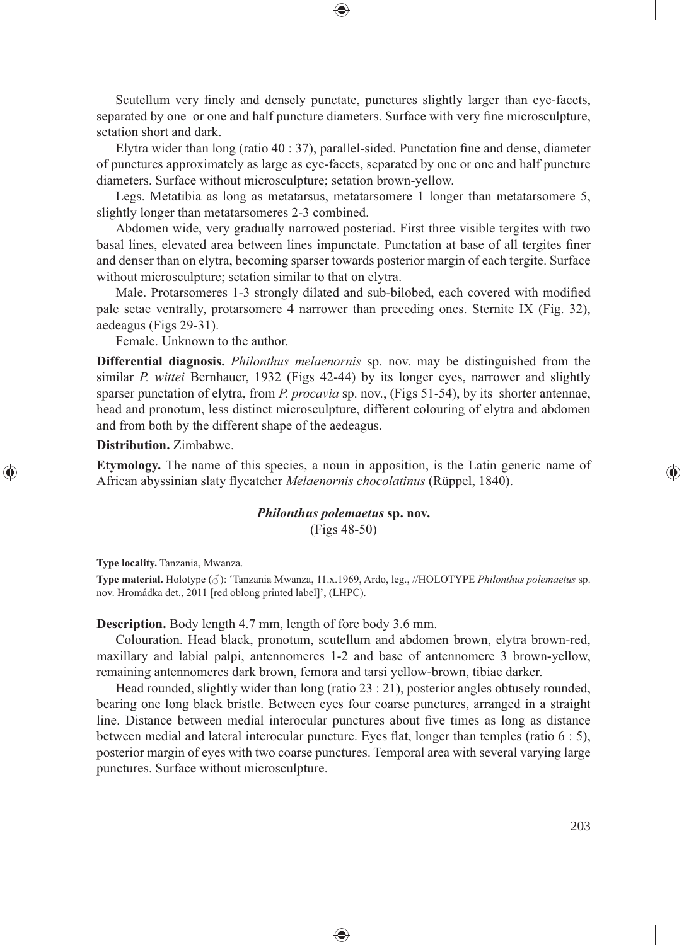Scutellum very finely and densely punctate, punctures slightly larger than eye-facets, separated by one or one and half puncture diameters. Surface with very fine microsculpture, setation short and dark.

Elytra wider than long (ratio  $40 : 37$ ), parallel-sided. Punctation fine and dense, diameter of punctures approximately as large as eye-facets, separated by one or one and half puncture diameters. Surface without microsculpture; setation brown-yellow.

Legs. Metatibia as long as metatarsus, metatarsomere 1 longer than metatarsomere 5, slightly longer than metatarsomeres 2-3 combined.

Abdomen wide, very gradually narrowed posteriad. First three visible tergites with two basal lines, elevated area between lines impunctate. Punctation at base of all tergites finer and denser than on elytra, becoming sparser towards posterior margin of each tergite. Surface without microsculpture; setation similar to that on elytra.

Male. Protarsomeres 1-3 strongly dilated and sub-bilobed, each covered with modified pale setae ventrally, protarsomere 4 narrower than preceding ones. Sternite IX (Fig. 32), aedeagus (Figs 29-31).

Female. Unknown to the author.

**Differential diagnosis.** *Philonthus melaenornis* sp. nov. may be distinguished from the similar *P. wittei* Bernhauer, 1932 (Figs 42-44) by its longer eyes, narrower and slightly sparser punctation of elytra, from *P. procavia* sp. nov., (Figs 51-54), by its shorter antennae, head and pronotum, less distinct microsculpture, different colouring of elytra and abdomen and from both by the different shape of the aedeagus.

#### **Distribution.** Zimbabwe.

⊕

**Etymology.** The name of this species, a noun in apposition, is the Latin generic name of African abyssinian slaty flycatcher *Melaenornis chocolatinus* (Rüppel, 1840).

> *Philonthus polemaetus* **sp. nov.** (Figs 48-50)

**Type locality.** Tanzania, Mwanza.

**Type material.** Holotype (♂): 'Tanzania Mwanza, 11.x.1969, Ardo, leg., //HOLOTYPE *Philonthus polemaetus* sp. nov. Hromádka det., 2011 [red oblong printed label]', (LHPC).

#### **Description.** Body length 4.7 mm, length of fore body 3.6 mm.

Colouration. Head black, pronotum, scutellum and abdomen brown, elytra brown-red, maxillary and labial palpi, antennomeres 1-2 and base of antennomere 3 brown-yellow, remaining antennomeres dark brown, femora and tarsi yellow-brown, tibiae darker.

Head rounded, slightly wider than long (ratio 23 : 21), posterior angles obtusely rounded, bearing one long black bristle. Between eyes four coarse punctures, arranged in a straight line. Distance between medial interocular punctures about five times as long as distance between medial and lateral interocular puncture. Eyes flat, longer than temples (ratio  $6:5$ ), posterior margin of eyes with two coarse punctures. Temporal area with several varying large punctures. Surface without microsculpture.

♠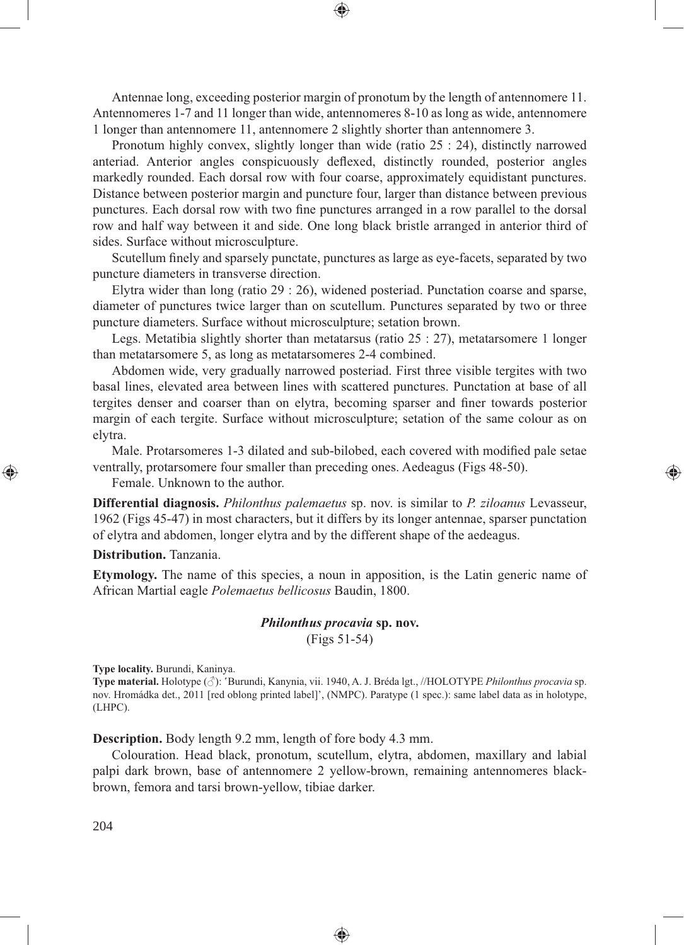Antennae long, exceeding posterior margin of pronotum by the length of antennomere 11. Antennomeres 1-7 and 11 longer than wide, antennomeres 8-10 as long as wide, antennomere 1 longer than antennomere 11, antennomere 2 slightly shorter than antennomere 3.

Pronotum highly convex, slightly longer than wide (ratio 25 : 24), distinctly narrowed anteriad. Anterior angles conspicuously deflexed, distinctly rounded, posterior angles markedly rounded. Each dorsal row with four coarse, approximately equidistant punctures. Distance between posterior margin and puncture four, larger than distance between previous punctures. Each dorsal row with two fine punctures arranged in a row parallel to the dorsal row and half way between it and side. One long black bristle arranged in anterior third of sides. Surface without microsculpture.

Scutellum finely and sparsely punctate, punctures as large as eye-facets, separated by two puncture diameters in transverse direction.

Elytra wider than long (ratio 29 : 26), widened posteriad. Punctation coarse and sparse, diameter of punctures twice larger than on scutellum. Punctures separated by two or three puncture diameters. Surface without microsculpture; setation brown.

Legs. Metatibia slightly shorter than metatarsus (ratio 25 : 27), metatarsomere 1 longer than metatarsomere 5, as long as metatarsomeres 2-4 combined.

Abdomen wide, very gradually narrowed posteriad. First three visible tergites with two basal lines, elevated area between lines with scattered punctures. Punctation at base of all tergites denser and coarser than on elytra, becoming sparser and finer towards posterior margin of each tergite. Surface without microsculpture; setation of the same colour as on elytra.

Male. Protarsomeres 1-3 dilated and sub-bilobed, each covered with modified pale setae ventrally, protarsomere four smaller than preceding ones. Aedeagus (Figs 48-50).

⊕

Female. Unknown to the author.

**Differential diagnosis.** *Philonthus palemaetus* sp. nov. is similar to *P. ziloanus* Levasseur, 1962 (Figs 45-47) in most characters, but it differs by its longer antennae, sparser punctation of elytra and abdomen, longer elytra and by the different shape of the aedeagus.

#### **Distribution.** Tanzania.

⊕

**Etymology.** The name of this species, a noun in apposition, is the Latin generic name of African Martial eagle *Polemaetus bellicosus* Baudin, 1800.

### *Philonthus procavia* **sp. nov.**

(Figs 51-54)

**Type locality.** Burundi, Kaninya.

**Type material.** Holotype (♂): 'Burundi, Kanynia, vii. 1940, A. J. Bréda lgt., //HOLOTYPE *Philonthus procavia* sp. nov. Hromádka det., 2011 [red oblong printed label]', (NMPC). Paratype (1 spec.): same label data as in holotype, (LHPC).

**Description.** Body length 9.2 mm, length of fore body 4.3 mm.

Colouration. Head black, pronotum, scutellum, elytra, abdomen, maxillary and labial palpi dark brown, base of antennomere 2 yellow-brown, remaining antennomeres blackbrown, femora and tarsi brown-yellow, tibiae darker.

♠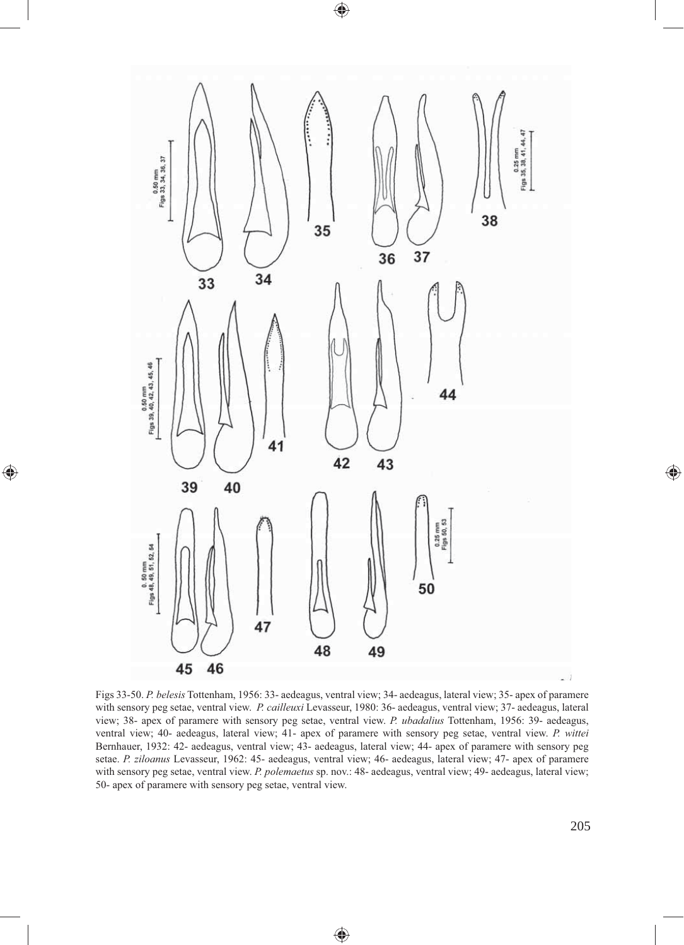

 $\bigoplus$ 

 $\bigoplus$ 

Figs 33-50. *P. belesis* Tottenham, 1956: 33- aedeagus, ventral view; 34- aedeagus, lateral view; 35- apex of paramere with sensory peg setae, ventral view. *P. cailleuxi* Levasseur, 1980: 36- aedeagus, ventral view; 37- aedeagus, lateral view; 38- apex of paramere with sensory peg setae, ventral view. *P. ubadalius* Tottenham, 1956: 39- aedeagus, ventral view; 40- aedeagus, lateral view; 41- apex of paramere with sensory peg setae, ventral view. *P. wittei* Bernhauer, 1932: 42- aedeagus, ventral view; 43- aedeagus, lateral view; 44- apex of paramere with sensory peg setae. *P. ziloanus* Levasseur, 1962: 45- aedeagus, ventral view; 46- aedeagus, lateral view; 47- apex of paramere with sensory peg setae, ventral view. *P. polemaetus* sp. nov.: 48- aedeagus, ventral view; 49- aedeagus, lateral view; 50- apex of paramere with sensory peg setae, ventral view.

 $\bigoplus$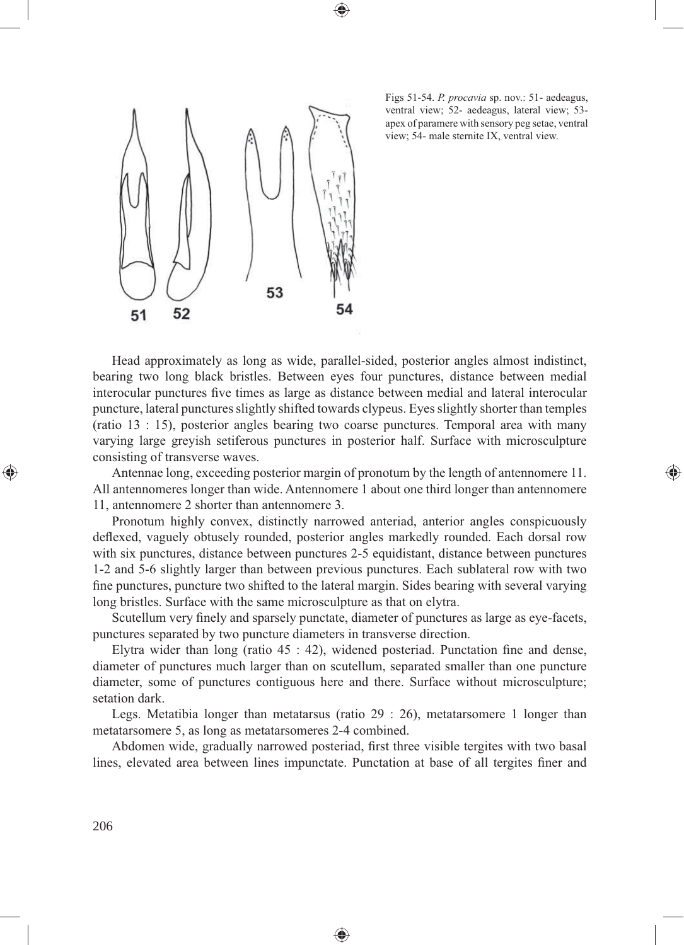



Figs 51-54. *P. procavia* sp. nov.: 51- aedeagus, ventral view; 52- aedeagus, lateral view; 53 apex of paramere with sensory peg setae, ventral view; 54- male sternite IX, ventral view.

⊕

Head approximately as long as wide, parallel-sided, posterior angles almost indistinct, bearing two long black bristles. Between eyes four punctures, distance between medial interocular punctures five times as large as distance between medial and lateral interocular puncture, lateral punctures slightly shifted towards clypeus. Eyes slightly shorter than temples (ratio 13 : 15), posterior angles bearing two coarse punctures. Temporal area with many varying large greyish setiferous punctures in posterior half. Surface with microsculpture consisting of transverse waves.

Antennae long, exceeding posterior margin of pronotum by the length of antennomere 11. All antennomeres longer than wide. Antennomere 1 about one third longer than antennomere 11, antennomere 2 shorter than antennomere 3.

Pronotum highly convex, distinctly narrowed anteriad, anterior angles conspicuously deflexed, vaguely obtusely rounded, posterior angles markedly rounded. Each dorsal row with six punctures, distance between punctures 2-5 equidistant, distance between punctures 1-2 and 5-6 slightly larger than between previous punctures. Each sublateral row with two fine punctures, puncture two shifted to the lateral margin. Sides bearing with several varying long bristles. Surface with the same microsculpture as that on elytra.

Scutellum very finely and sparsely punctate, diameter of punctures as large as eye-facets, punctures separated by two puncture diameters in transverse direction.

Elytra wider than long (ratio  $45 : 42$ ), widened posteriad. Punctation fine and dense, diameter of punctures much larger than on scutellum, separated smaller than one puncture diameter, some of punctures contiguous here and there. Surface without microsculpture; setation dark.

Legs. Metatibia longer than metatarsus (ratio 29 : 26), metatarsomere 1 longer than metatarsomere 5, as long as metatarsomeres 2-4 combined.

Abdomen wide, gradually narrowed posteriad, first three visible tergites with two basal lines, elevated area between lines impunctate. Punctation at base of all tergites finer and

◈

◈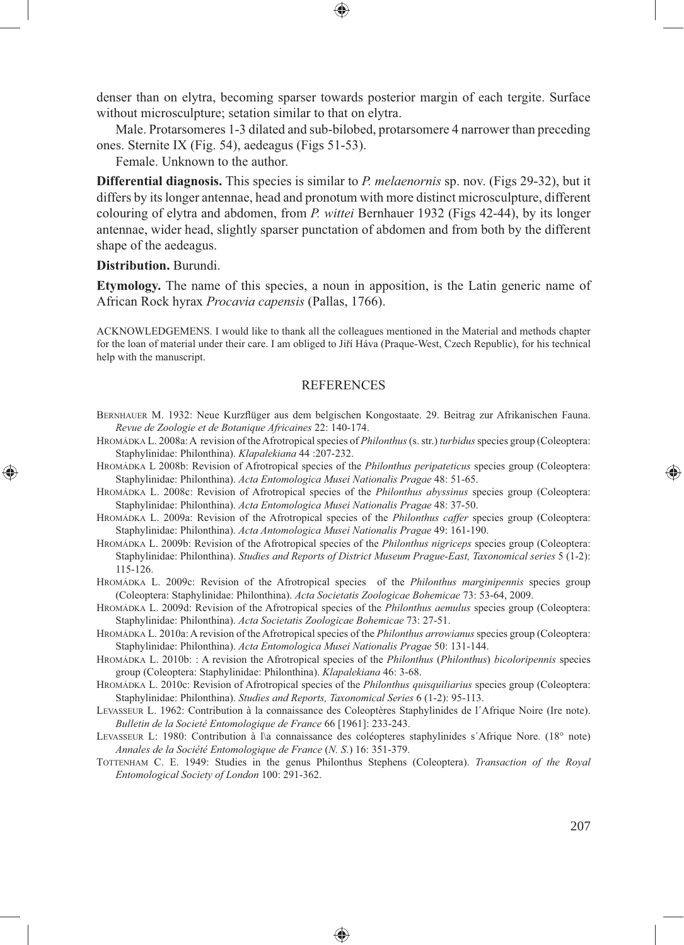denser than on elytra, becoming sparser towards posterior margin of each tergite. Surface without microsculpture; setation similar to that on elytra.

Male. Protarsomeres 1-3 dilated and sub-bilobed, protarsomere 4 narrower than preceding ones. Sternite IX (Fig. 54), aedeagus (Figs 51-53).

Female. Unknown to the author.

**Differential diagnosis.** This species is similar to *P. melaenornis* sp. nov. (Figs 29-32), but it differs by its longer antennae, head and pronotum with more distinct microsculpture, different colouring of elytra and abdomen, from *P. wittei* Bernhauer 1932 (Figs 42-44), by its longer antennae, wider head, slightly sparser punctation of abdomen and from both by the different shape of the aedeagus.

**Distribution.** Burundi.

⊕

**Etymology.** The name of this species, a noun in apposition, is the Latin generic name of African Rock hyrax *Procavia capensis* (Pallas, 1766).

ACKNOWLEDGEMENS. I would like to thank all the colleagues mentioned in the Material and methods chapter for the loan of material under their care. I am obliged to Jiří Háva (Praque-West, Czech Republic), for his technical help with the manuscript.

### **REFERENCES**

- BERNHAUER M. 1932: Neue Kurzflüger aus dem belgischen Kongostaate. 29. Beitrag zur Afrikanischen Fauna. *Revue de Zoologie et de Botanique Africaines* 22: 140-174.
- HROMÁDKA L. 2008a: A revision of the Afrotropical species of *Philonthus* (s. str.) *turbidus* species group (Coleoptera: Staphylinidae: Philonthina). *Klapalekiana* 44 :207-232.
- HROMÁDKA L 2008b: Revision of Afrotropical species of the *Philonthus peripateticus* species group (Coleoptera: Staphylinidae: Philonthina). *Acta Entomologica Musei Nationalis Pragae* 48: 51-65.
- HROMÁDKA L. 2008c: Revision of Afrotropical species of the *Philonthus abyssinus* species group (Coleoptera: Staphylinidae: Philonthina). *Acta Entomologica Musei Nationalis Pragae* 48: 37-50.

HROMÁDKA L. 2009a: Revision of the Afrotropical species of the *Philonthus caffer* species group (Coleoptera: Staphylinidae: Philonthina). *Acta Antomologica Musei Nationalis Pragae* 49: 161-190.

- HROMÁDKA L. 2009b: Revision of the Afrotropical species of the *Philonthus nigriceps* species group (Coleoptera: Staphylinidae: Philonthina). *Studies and Reports of District Museum Prague-East, Taxonomical series* 5 (1-2): 115-126.
- HROMÁDKA L. 2009c: Revision of the Afrotropical species of the *Philonthus marginipennis* species group (Coleoptera: Staphylinidae: Philonthina). *Acta Societatis Zoologicae Bohemicae* 73: 53-64, 2009.

HROMÁDKA L. 2009d: Revision of the Afrotropical species of the *Philonthus aemulus* species group (Coleoptera: Staphylinidae: Philonthina). *Acta Societatis Zoologicae Bohemicae* 73: 27-51.

HROMÁDKA L. 2010a: A revision of the Afrotropical species of the *Philonthus arrowianus* species group (Coleoptera: Staphylinidae: Philonthina). *Acta Entomologica Musei Nationalis Pragae* 50: 131-144.

HROMÁDKA L. 2010b: : A revision the Afrotropical species of the *Philonthus* (*Philonthus*) *bicoloripennis* species group (Coleoptera: Staphylinidae: Philonthina). *Klapalekiana* 46: 3-68.

HROMÁDKA L. 2010c: Revision of Afrotropical species of the *Philonthus quisquiliarius* species group (Coleoptera: Staphylinidae: Philonthina). *Studies and Reports, Taxonomical Series* 6 (1-2): 95-113.

- LEVASSEUR L. 1962: Contribution à la connaissance des Coleoptères Staphylinides de l´Afrique Noire (Ire note). *Bulletin de la Societé Entomologique de France* 66 [1961]: 233-243.
- LEVASSEUR L: 1980: Contribution à l\a connaissance des coléopteres staphylinides s'Afrique Nore. (18° note) *Annales de la Société Entomologique de France* (*N. S*.) 16: 351-379.
- TOTTENHAM C. E. 1949: Studies in the genus Philonthus Stephens (Coleoptera). *Transaction of the Royal Entomological Society of London* 100: 291-362.

⊕